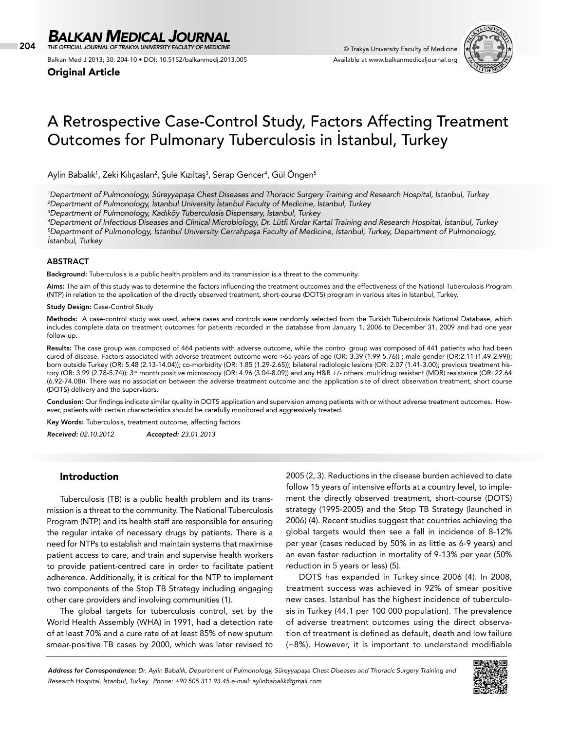204 © Trakya University Faculty of Medicine *THE OFFICIAL JOURNAL OF TRAKYA UNIVERSITY FACULTY OF MEDICINE*

Balkan Med J 2013; 30: 204-10 • DOI: 10.5152/balkanmedj.2013.005

Original Article



# A Retrospective Case-Control Study, Factors Affecting Treatment Outcomes for Pulmonary Tuberculosis in İstanbul, Turkey

Aylin Babalık<sup>1</sup>, Zeki Kılıçaslan<sup>2</sup>, Şule Kızıltaş<sup>3</sup>, Serap Gencer<sup>4</sup>, Gül Öngen<sup>5</sup>

*1 Department of Pulmonology, Süreyyapaşa Chest Diseases and Thoracic Surgery Training and Research Hospital, İstanbul, Turkey 2 Department of Pulmonology, İstanbul University İstanbul Faculty of Medicine, İstanbul, Turkey* 

*3 Department of Pulmonology, Kadıköy Tuberculosis Dispensary, İstanbul, Turkey* 

*4 Department of Infectious Diseases and Clinical Microbiology, Dr. Lütfi Kırdar Kartal Training and Research Hospital, İstanbul, Turkey 5 Department of Pulmonology, İstanbul University Cerrahpaşa Faculty of Medicine, İstanbul, Turkey, Department of Pulmonology, İstanbul, Turkey*

## ABSTRACT

Background: Tuberculosis is a public health problem and its transmission is a threat to the community.

Aims: The aim of this study was to determine the factors influencing the treatment outcomes and the effectiveness of the National Tuberculosis Program (NTP) in relation to the application of the directly observed treatment, short-course (DOTS) program in various sites in Istanbul, Turkey.

Study Design: Case-Control Study

Methods: A case-control study was used, where cases and controls were randomly selected from the Turkish Tuberculosis National Database, which includes complete data on treatment outcomes for patients recorded in the database from January 1, 2006 to December 31, 2009 and had one year follow-up.

Results: The case group was composed of 464 patients with adverse outcome, while the control group was composed of 441 patients who had been cured of disease. Factors associated with adverse treatment outcome were >65 years of age (OR: 3.39 (1.99-5.76)) ; male gender (OR:2.11 (1.49-2.99)); born outside Turkey (OR: 5.48 (2.13-14.04)); co-morbidity (OR: 1.85 (1.29-2.65)); bilateral radiologic lesions (OR: 2.07 (1.41-3.00); previous treatment history (OR: 3.99 (2.78-5.74)); 3rd month positive microscopy (OR: 4.96 (3.04-8.09)) and any H&R +/- others multidrug resistant (MDR) resistance (OR: 22.64 (6.92-74.08)). There was no association between the adverse treatment outcome and the application site of direct observation treatment, short course (DOTS) delivery and the supervisors.

Conclusion: Our findings indicate similar quality in DOTS application and supervision among patients with or without adverse treatment outcomes. However, patients with certain characteristics should be carefully monitored and aggressively treated.

Key Words: Tuberculosis, treatment outcome, affecting factors

*Received: 02.10.2012 Accepted: 23.01.2013*

# Introduction

Tuberculosis (TB) is a public health problem and its transmission is a threat to the community. The National Tuberculosis Program (NTP) and its health staff are responsible for ensuring the regular intake of necessary drugs by patients. There is a need for NTPs to establish and maintain systems that maximise patient access to care, and train and supervise health workers to provide patient-centred care in order to facilitate patient adherence. Additionally, it is critical for the NTP to implement two components of the Stop TB Strategy including engaging other care providers and involving communities (1).

The global targets for tuberculosis control, set by the World Health Assembly (WHA) in 1991, had a detection rate of at least 70% and a cure rate of at least 85% of new sputum smear-positive TB cases by 2000, which was later revised to 2005 (2, 3). Reductions in the disease burden achieved to date follow 15 years of intensive efforts at a country level, to implement the directly observed treatment, short-course (DOTS) strategy (1995-2005) and the Stop TB Strategy (launched in 2006) (4). Recent studies suggest that countries achieving the global targets would then see a fall in incidence of 8-12% per year (cases reduced by 50% in as little as 6-9 years) and an even faster reduction in mortality of 9-13% per year (50% reduction in 5 years or less) (5).

DOTS has expanded in Turkey since 2006 (4). In 2008, treatment success was achieved in 92% of smear positive new cases. Istanbul has the highest incidence of tuberculosis in Turkey (44.1 per 100 000 population). The prevalence of adverse treatment outcomes using the direct observation of treatment is defined as default, death and low failure (~8%). However, it is important to understand modifiable

*Address for Correspondence: Dr. Aylin Babalık, Department of Pulmonology, Süreyyapaşa Chest Diseases and Thoracic Surgery Training and Research Hospital, İstanbul, Turkey Phone: +90 505 311 93 45 e-mail: aylinbabalik@gmail.com*

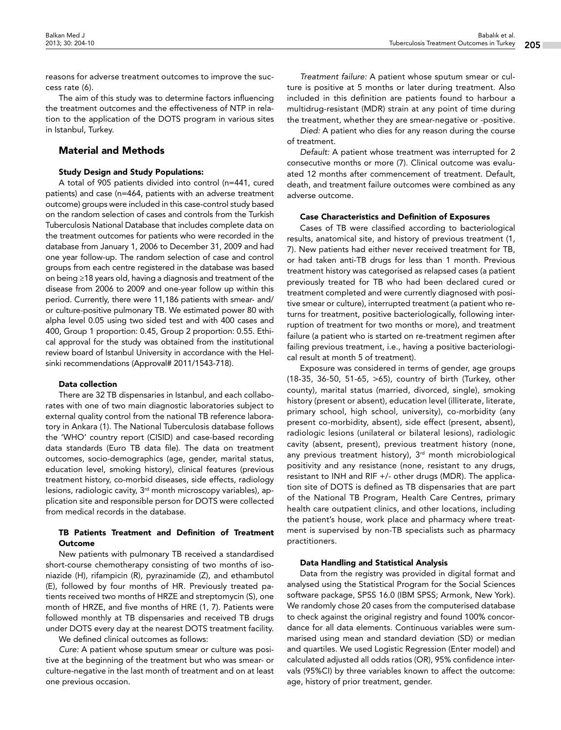reasons for adverse treatment outcomes to improve the success rate (6).

The aim of this study was to determine factors influencing the treatment outcomes and the effectiveness of NTP in relation to the application of the DOTS program in various sites in Istanbul, Turkey.

# Material and Methods

## Study Design and Study Populations:

A total of 905 patients divided into control (n=441, cured patients) and case (n=464, patients with an adverse treatment outcome) groups were included in this case-control study based on the random selection of cases and controls from the Turkish Tuberculosis National Database that includes complete data on the treatment outcomes for patients who were recorded in the database from January 1, 2006 to December 31, 2009 and had one year follow-up. The random selection of case and control groups from each centre registered in the database was based on being ≥18 years old, having a diagnosis and treatment of the disease from 2006 to 2009 and one-year follow up within this period. Currently, there were 11,186 patients with smear- and/ or culture-positive pulmonary TB. We estimated power 80 with alpha level 0.05 using two sided test and with 400 cases and 400, Group 1 proportion: 0.45, Group 2 proportion: 0.55. Ethical approval for the study was obtained from the institutional review board of Istanbul University in accordance with the Helsinki recommendations (Approval# 2011/1543-718).

## Data collection

There are 32 TB dispensaries in Istanbul, and each collaborates with one of two main diagnostic laboratories subject to external quality control from the national TB reference laboratory in Ankara (1). The National Tuberculosis database follows the 'WHO' country report (CISID) and case-based recording data standards (Euro TB data file). The data on treatment outcomes, socio-demographics (age, gender, marital status, education level, smoking history), clinical features (previous treatment history, co-morbid diseases, side effects, radiology lesions, radiologic cavity, 3<sup>rd</sup> month microscopy variables), application site and responsible person for DOTS were collected from medical records in the database.

## TB Patients Treatment and Definition of Treatment **Outcome**

New patients with pulmonary TB received a standardised short-course chemotherapy consisting of two months of isoniazide (H), rifampicin (R), pyrazinamide (Z), and ethambutol (E), followed by four months of HR. Previously treated patients received two months of HRZE and streptomycin (S), one month of HRZE, and five months of HRE (1, 7). Patients were followed monthly at TB dispensaries and received TB drugs under DOTS every day at the nearest DOTS treatment facility.

We defined clinical outcomes as follows:

*Cure:* A patient whose sputum smear or culture was positive at the beginning of the treatment but who was smear- or culture-negative in the last month of treatment and on at least one previous occasion.

*Treatment failure:* A patient whose sputum smear or culture is positive at 5 months or later during treatment. Also included in this definition are patients found to harbour a multidrug-resistant (MDR) strain at any point of time during the treatment, whether they are smear-negative or -positive.

*Died:* A patient who dies for any reason during the course of treatment.

*Default:* A patient whose treatment was interrupted for 2 consecutive months or more (7). Clinical outcome was evaluated 12 months after commencement of treatment. Default, death, and treatment failure outcomes were combined as any adverse outcome.

#### Case Characteristics and Definition of Exposures

Cases of TB were classified according to bacteriological results, anatomical site, and history of previous treatment (1, 7). New patients had either never received treatment for TB, or had taken anti-TB drugs for less than 1 month. Previous treatment history was categorised as relapsed cases (a patient previously treated for TB who had been declared cured or treatment completed and were currently diagnosed with positive smear or culture), interrupted treatment (a patient who returns for treatment, positive bacteriologically, following interruption of treatment for two months or more), and treatment failure (a patient who is started on re-treatment regimen after failing previous treatment, i.e., having a positive bacteriological result at month 5 of treatment).

Exposure was considered in terms of gender, age groups (18-35, 36-50, 51-65, >65), country of birth (Turkey, other county), marital status (married, divorced, single), smoking history (present or absent), education level (illiterate, literate, primary school, high school, university), co-morbidity (any present co-morbidity, absent), side effect (present, absent), radiologic lesions (unilateral or bilateral lesions), radiologic cavity (absent, present), previous treatment history (none, any previous treatment history),  $3<sup>rd</sup>$  month microbiological positivity and any resistance (none, resistant to any drugs, resistant to INH and RIF +/- other drugs (MDR). The application site of DOTS is defined as TB dispensaries that are part of the National TB Program, Health Care Centres, primary health care outpatient clinics, and other locations, including the patient's house, work place and pharmacy where treatment is supervised by non-TB specialists such as pharmacy practitioners.

## Data Handling and Statistical Analysis

Data from the registry was provided in digital format and analysed using the Statistical Program for the Social Sciences software package, SPSS 16.0 (IBM SPSS; Armonk, New York). We randomly chose 20 cases from the computerised database to check against the original registry and found 100% concordance for all data elements. Continuous variables were summarised using mean and standard deviation (SD) or median and quartiles. We used Logistic Regression (Enter model) and calculated adjusted all odds ratios (OR), 95% confidence intervals (95%CI) by three variables known to affect the outcome: age, history of prior treatment, gender.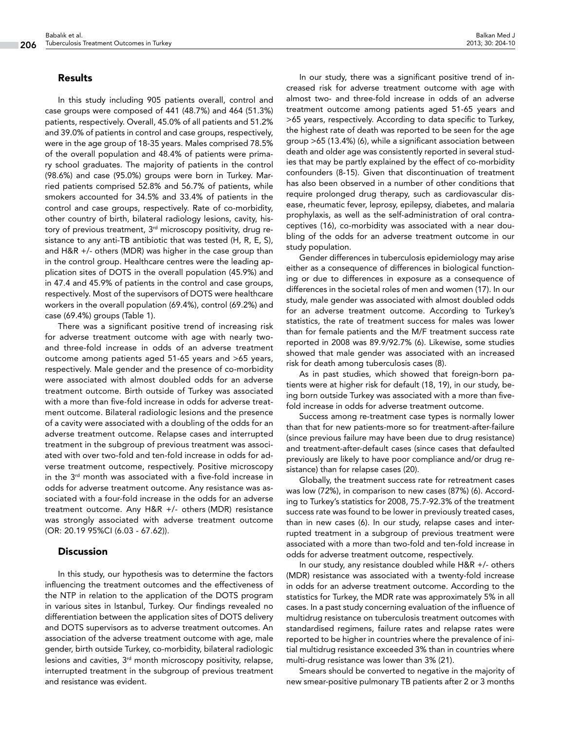# Results

In this study including 905 patients overall, control and case groups were composed of 441 (48.7%) and 464 (51.3%) patients, respectively. Overall, 45.0% of all patients and 51.2% and 39.0% of patients in control and case groups, respectively, were in the age group of 18-35 years. Males comprised 78.5% of the overall population and 48.4% of patients were primary school graduates. The majority of patients in the control (98.6%) and case (95.0%) groups were born in Turkey. Married patients comprised 52.8% and 56.7% of patients, while smokers accounted for 34.5% and 33.4% of patients in the control and case groups, respectively. Rate of co-morbidity, other country of birth, bilateral radiology lesions, cavity, history of previous treatment, 3<sup>rd</sup> microscopy positivity, drug resistance to any anti-TB antibiotic that was tested (H, R, E, S), and H&R +/- others (MDR) was higher in the case group than in the control group. Healthcare centres were the leading application sites of DOTS in the overall population (45.9%) and in 47.4 and 45.9% of patients in the control and case groups, respectively. Most of the supervisors of DOTS were healthcare workers in the overall population (69.4%), control (69.2%) and case (69.4%) groups (Table 1).

There was a significant positive trend of increasing risk for adverse treatment outcome with age with nearly twoand three-fold increase in odds of an adverse treatment outcome among patients aged 51-65 years and >65 years, respectively. Male gender and the presence of co-morbidity were associated with almost doubled odds for an adverse treatment outcome. Birth outside of Turkey was associated with a more than five-fold increase in odds for adverse treatment outcome. Bilateral radiologic lesions and the presence of a cavity were associated with a doubling of the odds for an adverse treatment outcome. Relapse cases and interrupted treatment in the subgroup of previous treatment was associated with over two-fold and ten-fold increase in odds for adverse treatment outcome, respectively. Positive microscopy in the 3<sup>rd</sup> month was associated with a five-fold increase in odds for adverse treatment outcome. Any resistance was associated with a four-fold increase in the odds for an adverse treatment outcome. Any H&R +/- others (MDR) resistance was strongly associated with adverse treatment outcome (OR: 20.19 95%CI (6.03 - 67.62)).

## **Discussion**

In this study, our hypothesis was to determine the factors influencing the treatment outcomes and the effectiveness of the NTP in relation to the application of the DOTS program in various sites in Istanbul, Turkey. Our findings revealed no differentiation between the application sites of DOTS delivery and DOTS supervisors as to adverse treatment outcomes. An association of the adverse treatment outcome with age, male gender, birth outside Turkey, co-morbidity, bilateral radiologic lesions and cavities,  $3<sup>rd</sup>$  month microscopy positivity, relapse, interrupted treatment in the subgroup of previous treatment and resistance was evident.

In our study, there was a significant positive trend of increased risk for adverse treatment outcome with age with almost two- and three-fold increase in odds of an adverse treatment outcome among patients aged 51-65 years and >65 years, respectively. According to data specific to Turkey, the highest rate of death was reported to be seen for the age group >65 (13.4%) (6), while a significant association between death and older age was consistently reported in several studies that may be partly explained by the effect of co-morbidity confounders (8-15). Given that discontinuation of treatment has also been observed in a number of other conditions that require prolonged drug therapy, such as cardiovascular disease, rheumatic fever, leprosy, epilepsy, diabetes, and malaria prophylaxis, as well as the self-administration of oral contraceptives (16), co-morbidity was associated with a near doubling of the odds for an adverse treatment outcome in our study population.

Gender differences in tuberculosis epidemiology may arise either as a consequence of differences in biological functioning or due to differences in exposure as a consequence of differences in the societal roles of men and women (17). In our study, male gender was associated with almost doubled odds for an adverse treatment outcome. According to Turkey's statistics, the rate of treatment success for males was lower than for female patients and the M/F treatment success rate reported in 2008 was 89.9/92.7% (6). Likewise, some studies showed that male gender was associated with an increased risk for death among tuberculosis cases (8).

As in past studies, which showed that foreign-born patients were at higher risk for default (18, 19), in our study, being born outside Turkey was associated with a more than fivefold increase in odds for adverse treatment outcome.

Success among re-treatment case types is normally lower than that for new patients-more so for treatment-after-failure (since previous failure may have been due to drug resistance) and treatment-after-default cases (since cases that defaulted previously are likely to have poor compliance and/or drug resistance) than for relapse cases (20).

Globally, the treatment success rate for retreatment cases was low (72%), in comparison to new cases (87%) (6). According to Turkey's statistics for 2008, 75.7-92.3% of the treatment success rate was found to be lower in previously treated cases, than in new cases (6). In our study, relapse cases and interrupted treatment in a subgroup of previous treatment were associated with a more than two-fold and ten-fold increase in odds for adverse treatment outcome, respectively.

In our study, any resistance doubled while H&R +/- others (MDR) resistance was associated with a twenty-fold increase in odds for an adverse treatment outcome. According to the statistics for Turkey, the MDR rate was approximately 5% in all cases. In a past study concerning evaluation of the influence of multidrug resistance on tuberculosis treatment outcomes with standardised regimens, failure rates and relapse rates were reported to be higher in countries where the prevalence of initial multidrug resistance exceeded 3% than in countries where multi-drug resistance was lower than 3% (21).

Smears should be converted to negative in the majority of new smear-positive pulmonary TB patients after 2 or 3 months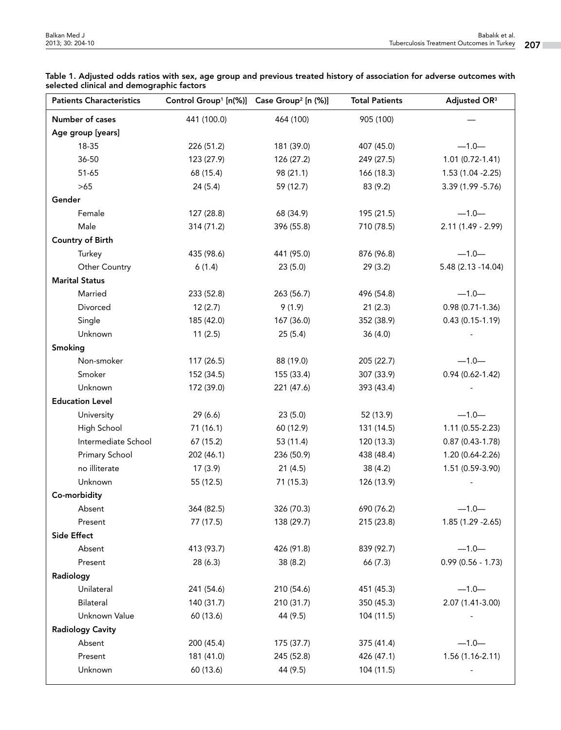| <b>Patients Characteristics</b> | Control Group <sup>1</sup> [n(%)] Case Group <sup>2</sup> [n (%)] |            | <b>Total Patients</b> | Adjusted OR <sup>3</sup> |
|---------------------------------|-------------------------------------------------------------------|------------|-----------------------|--------------------------|
| Number of cases                 | 441 (100.0)                                                       | 464 (100)  | 905 (100)             |                          |
| Age group [years]               |                                                                   |            |                       |                          |
| 18-35                           | 226 (51.2)                                                        | 181 (39.0) | 407 (45.0)            | $-1.0-$                  |
| 36-50                           | 123 (27.9)                                                        | 126 (27.2) | 249 (27.5)            | 1.01 (0.72-1.41)         |
| 51-65                           | 68 (15.4)                                                         | 98 (21.1)  | 166 (18.3)            | 1.53 (1.04 - 2.25)       |
| >65                             | 24(5.4)                                                           | 59 (12.7)  | 83 (9.2)              | 3.39 (1.99 - 5.76)       |
| Gender                          |                                                                   |            |                       |                          |
| Female                          | 127 (28.8)                                                        | 68 (34.9)  | 195 (21.5)            | $-1.0-$                  |
| Male                            | 314 (71.2)                                                        | 396 (55.8) | 710 (78.5)            | $2.11(1.49 - 2.99)$      |
| <b>Country of Birth</b>         |                                                                   |            |                       |                          |
| Turkey                          | 435 (98.6)                                                        | 441 (95.0) | 876 (96.8)            | $-1.0-$                  |
| Other Country                   | 6(1.4)                                                            | 23(5.0)    | 29(3.2)               | 5.48 (2.13 -14.04)       |
| <b>Marital Status</b>           |                                                                   |            |                       |                          |
| Married                         | 233 (52.8)                                                        | 263 (56.7) | 496 (54.8)            | $-1.0-$                  |
| Divorced                        | 12(2.7)                                                           | 9(1.9)     | 21(2.3)               | 0.98 (0.71-1.36)         |
| Single                          | 185 (42.0)                                                        | 167 (36.0) | 352 (38.9)            | $0.43(0.15-1.19)$        |
| Unknown                         | 11(2.5)                                                           | 25(5.4)    | 36(4.0)               |                          |
| Smoking                         |                                                                   |            |                       |                          |
| Non-smoker                      | 117 (26.5)                                                        | 88 (19.0)  | 205 (22.7)            | $-1.0-$                  |
| Smoker                          | 152 (34.5)                                                        | 155 (33.4) | 307 (33.9)            | $0.94(0.62 - 1.42)$      |
| Unknown                         | 172 (39.0)                                                        | 221 (47.6) | 393 (43.4)            |                          |
| <b>Education Level</b>          |                                                                   |            |                       |                          |
| University                      | 29 (6.6)                                                          | 23(5.0)    | 52 (13.9)             | $-1.0-$                  |
| High School                     | 71 (16.1)                                                         | 60 (12.9)  | 131 (14.5)            | 1.11 (0.55-2.23)         |
| Intermediate School             | 67 (15.2)                                                         | 53 (11.4)  | 120 (13.3)            | $0.87(0.43-1.78)$        |
| Primary School                  | 202 (46.1)                                                        | 236 (50.9) | 438 (48.4)            | 1.20 (0.64-2.26)         |
| no illiterate                   | 17(3.9)                                                           | 21(4.5)    | 38(4.2)               | 1.51 (0.59-3.90)         |
| Unknown                         | 55 (12.5)                                                         | 71 (15.3)  | 126 (13.9)            |                          |
| Co-morbidity                    |                                                                   |            |                       |                          |
| Absent                          | 364 (82.5)                                                        | 326 (70.3) | 690 (76.2)            | $-1.0-$                  |
| Present                         | 77 (17.5)                                                         | 138 (29.7) | 215 (23.8)            | 1.85 (1.29 - 2.65)       |
| Side Effect                     |                                                                   |            |                       |                          |
| Absent                          | 413 (93.7)                                                        | 426 (91.8) | 839 (92.7)            | $-1.0-$                  |
| Present                         | 28 (6.3)                                                          | 38 (8.2)   | 66 (7.3)              | $0.99(0.56 - 1.73)$      |
| Radiology                       |                                                                   |            |                       |                          |
| Unilateral                      | 241 (54.6)                                                        | 210 (54.6) | 451 (45.3)            | $-1.0-$                  |
| Bilateral                       | 140 (31.7)                                                        | 210 (31.7) | 350 (45.3)            | 2.07 (1.41-3.00)         |
| Unknown Value                   | 60 (13.6)                                                         | 44 (9.5)   | 104 (11.5)            |                          |
| <b>Radiology Cavity</b>         |                                                                   |            |                       |                          |
| Absent                          | 200 (45.4)                                                        | 175 (37.7) | 375 (41.4)            | $-1.0-$                  |
| Present                         | 181 (41.0)                                                        | 245 (52.8) | 426 (47.1)            | 1.56 (1.16-2.11)         |
| Unknown                         | 60 (13.6)                                                         | 44 (9.5)   | 104 (11.5)            |                          |

Table 1. Adjusted odds ratios with sex, age group and previous treated history of association for adverse outcomes with selected clinical and demographic factors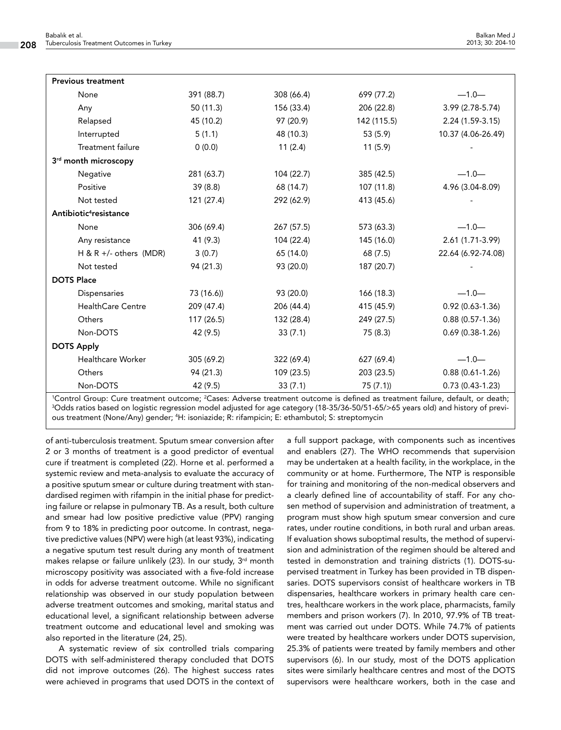| <b>Previous treatment</b>                                                                                                   |            |            |             |                     |
|-----------------------------------------------------------------------------------------------------------------------------|------------|------------|-------------|---------------------|
| None                                                                                                                        | 391 (88.7) | 308 (66.4) | 699 (77.2)  | $-1.0-$             |
| Any                                                                                                                         | 50 (11.3)  | 156 (33.4) | 206 (22.8)  | 3.99 (2.78-5.74)    |
| Relapsed                                                                                                                    | 45 (10.2)  | 97 (20.9)  | 142 (115.5) | $2.24(1.59-3.15)$   |
| Interrupted                                                                                                                 | 5(1.1)     | 48 (10.3)  | 53 (5.9)    | 10.37 (4.06-26.49)  |
| <b>Treatment failure</b>                                                                                                    | 0(0.0)     | 11(2.4)    | 11(5.9)     |                     |
| 3rd month microscopy                                                                                                        |            |            |             |                     |
| Negative                                                                                                                    | 281 (63.7) | 104 (22.7) | 385 (42.5)  | $-1.0-$             |
| Positive                                                                                                                    | 39(8.8)    | 68 (14.7)  | 107 (11.8)  | 4.96 (3.04-8.09)    |
| Not tested                                                                                                                  | 121 (27.4) | 292 (62.9) | 413 (45.6)  |                     |
| Antibiotic <sup>4</sup> resistance                                                                                          |            |            |             |                     |
| None                                                                                                                        | 306 (69.4) | 267 (57.5) | 573 (63.3)  | $-1.0-$             |
| Any resistance                                                                                                              | 41(9.3)    | 104 (22.4) | 145 (16.0)  | 2.61 (1.71-3.99)    |
| H & R +/- others (MDR)                                                                                                      | 3(0.7)     | 65 (14.0)  | 68 (7.5)    | 22.64 (6.92-74.08)  |
| Not tested                                                                                                                  | 94 (21.3)  | 93 (20.0)  | 187 (20.7)  |                     |
| <b>DOTS Place</b>                                                                                                           |            |            |             |                     |
| Dispensaries                                                                                                                | 73 (16.6)) | 93 (20.0)  | 166 (18.3)  | $-1.0-$             |
| <b>HealthCare Centre</b>                                                                                                    | 209 (47.4) | 206 (44.4) | 415 (45.9)  | $0.92(0.63 - 1.36)$ |
| Others                                                                                                                      | 117 (26.5) | 132 (28.4) | 249 (27.5)  | $0.88(0.57-1.36)$   |
| Non-DOTS                                                                                                                    | 42 (9.5)   | 33(7.1)    | 75 (8.3)    | $0.69(0.38-1.26)$   |
| <b>DOTS Apply</b>                                                                                                           |            |            |             |                     |
| Healthcare Worker                                                                                                           | 305 (69.2) | 322 (69.4) | 627 (69.4)  | $-1.0-$             |
| Others                                                                                                                      | 94 (21.3)  | 109 (23.5) | 203 (23.5)  | $0.88(0.61-1.26)$   |
| Non-DOTS                                                                                                                    | 42 (9.5)   | 33(7.1)    | 75(7.1)     | $0.73(0.43-1.23)$   |
| Control Group: Curo traztment outcome: ?Casos: Adverse traztment outcome is defined as traztment failure default, or death: |            |            |             |                     |

1 Control Group: Cure treatment outcome; <sup>2</sup> 'Control Group: Cure treatment outcome; <sup>2</sup>Cases: Adverse treatment outcome is defined as treatment failure, default, or death;<br><sup>3</sup>Odds ratios based on logistic regression model adjusted for age category (18-35/36-50/51-65 ous treatment (None/Any) gender; 4 H: isoniazide; R: rifampicin; E: ethambutol; S: streptomycin

of anti-tuberculosis treatment. Sputum smear conversion after 2 or 3 months of treatment is a good predictor of eventual cure if treatment is completed (22). Horne et al. performed a systemic review and meta-analysis to evaluate the accuracy of a positive sputum smear or culture during treatment with standardised regimen with rifampin in the initial phase for predicting failure or relapse in pulmonary TB. As a result, both culture and smear had low positive predictive value (PPV) ranging from 9 to 18% in predicting poor outcome. In contrast, negative predictive values (NPV) were high (at least 93%), indicating a negative sputum test result during any month of treatment makes relapse or failure unlikely  $(23)$ . In our study,  $3<sup>rd</sup>$  month microscopy positivity was associated with a five-fold increase in odds for adverse treatment outcome. While no significant relationship was observed in our study population between adverse treatment outcomes and smoking, marital status and educational level, a significant relationship between adverse treatment outcome and educational level and smoking was also reported in the literature (24, 25).

A systematic review of six controlled trials comparing DOTS with self-administered therapy concluded that DOTS did not improve outcomes (26). The highest success rates were achieved in programs that used DOTS in the context of

a full support package, with components such as incentives and enablers (27). The WHO recommends that supervision may be undertaken at a health facility, in the workplace, in the community or at home. Furthermore, The NTP is responsible for training and monitoring of the non-medical observers and a clearly defined line of accountability of staff. For any chosen method of supervision and administration of treatment, a program must show high sputum smear conversion and cure rates, under routine conditions, in both rural and urban areas. If evaluation shows suboptimal results, the method of supervision and administration of the regimen should be altered and tested in demonstration and training districts (1). DOTS-supervised treatment in Turkey has been provided in TB dispensaries. DOTS supervisors consist of healthcare workers in TB dispensaries, healthcare workers in primary health care centres, healthcare workers in the work place, pharmacists, family members and prison workers (7). In 2010, 97.9% of TB treatment was carried out under DOTS. While 74.7% of patients were treated by healthcare workers under DOTS supervision, 25.3% of patients were treated by family members and other supervisors (6). In our study, most of the DOTS application sites were similarly healthcare centres and most of the DOTS supervisors were healthcare workers, both in the case and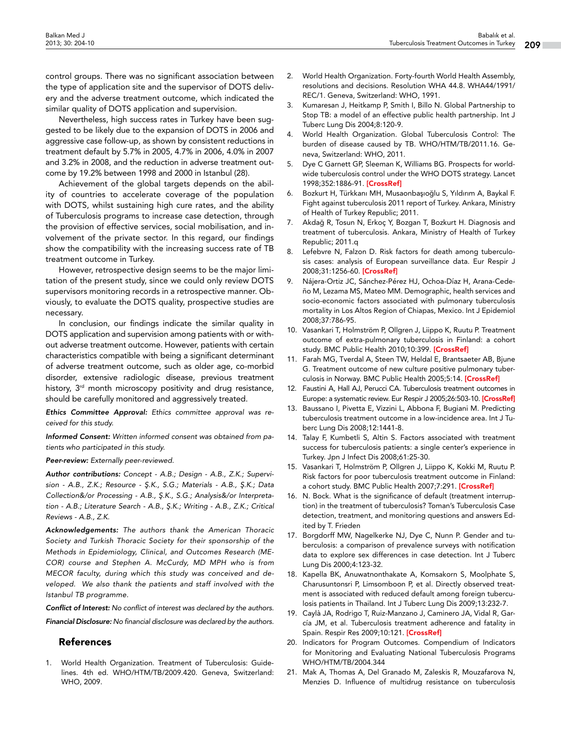control groups. There was no significant association between the type of application site and the supervisor of DOTS delivery and the adverse treatment outcome, which indicated the similar quality of DOTS application and supervision.

Nevertheless, high success rates in Turkey have been suggested to be likely due to the expansion of DOTS in 2006 and aggressive case follow-up, as shown by consistent reductions in treatment default by 5.7% in 2005, 4.7% in 2006, 4.0% in 2007 and 3.2% in 2008, and the reduction in adverse treatment outcome by 19.2% between 1998 and 2000 in Istanbul (28).

Achievement of the global targets depends on the ability of countries to accelerate coverage of the population with DOTS, whilst sustaining high cure rates, and the ability of Tuberculosis programs to increase case detection, through the provision of effective services, social mobilisation, and involvement of the private sector. In this regard, our findings show the compatibility with the increasing success rate of TB treatment outcome in Turkey.

However, retrospective design seems to be the major limitation of the present study, since we could only review DOTS supervisors monitoring records in a retrospective manner. Obviously, to evaluate the DOTS quality, prospective studies are necessary.

In conclusion, our findings indicate the similar quality in DOTS application and supervision among patients with or without adverse treatment outcome. However, patients with certain characteristics compatible with being a significant determinant of adverse treatment outcome, such as older age, co-morbid disorder, extensive radiologic disease, previous treatment history, 3<sup>rd</sup> month microscopy positivity and drug resistance, should be carefully monitored and aggressively treated.

*Ethics Committee Approval: Ethics committee approval was received for this study.*

*Informed Consent: Written informed consent was obtained from patients who participated in this study.*

## *Peer-review: Externally peer-reviewed.*

*Author contributions: Concept - A.B.; Design - A.B., Z.K.; Supervision - A.B., Z.K.; Resource - Ş.K., S.G.; Materials - A.B., Ş.K.; Data Collection&/or Processing - A.B., Ş.K., S.G.; Analysis&/or Interpretation - A.B.; Literature Search - A.B., Ş.K.; Writing - A.B., Z.K.; Critical Reviews - A.B., Z.K.*

*Acknowledgements: The authors thank the American Thoracic Society and Turkish Thoracic Society for their sponsorship of the Methods in Epidemiology, Clinical, and Outcomes Research (ME-COR) course and Stephen A. McCurdy, MD MPH who is from MECOR faculty, during which this study was conceived and developed. We also thank the patients and staff involved with the Istanbul TB programme.* 

*Conflict of Interest: No conflict of interest was declared by the authors.* 

*Financial Disclosure: No financial disclosure was declared by the authors.*

# References

1. World Health Organization. Treatment of Tuberculosis: Guidelines. 4th ed. WHO/HTM/TB/2009.420. Geneva, Switzerland: WHO, 2009.

- 2. World Health Organization. Forty-fourth World Health Assembly, resolutions and decisions. Resolution WHA 44.8. WHA44/1991/ REC/1. Geneva, Switzerland: WHO, 1991.
- 3. Kumaresan J, Heitkamp P, Smith I, Billo N. Global Partnership to Stop TB: a model of an effective public health partnership. Int J Tuberc Lung Dis 2004;8:120-9.
- 4. World Health Organization. Global Tuberculosis Control: The burden of disease caused by TB. WHO/HTM/TB/2011.16. Geneva, Switzerland: WHO, 2011.
- 5. Dye C Garnett GP, Sleeman K, Williams BG. Prospects for worldwide tuberculosis control under the WHO DOTS strategy. Lancet 1998;352:1886-91. [[CrossRef](http://dx.doi.org/10.1016/S0140-6736(98)03199-7)]
- 6. Bozkurt H, Türkkanı MH, Musaonbaşıoğlu S, Yıldırım A, Baykal F. Fight against tuberculosis 2011 report of Turkey. Ankara, Ministry of Health of Turkey Republic; 2011.
- 7. Akdağ R, Tosun N, Erkoç Y, Bozgan T, Bozkurt H. Diagnosis and treatment of tuberculosis. Ankara, Ministry of Health of Turkey Republic; 2011.q
- 8. Lefebvre N, Falzon D. Risk factors for death among tuberculosis cases: analysis of European surveillance data. Eur Respir J 2008;31:1256-60. [\[CrossRef\]](http://dx.doi.org/10.1183/09031936.00131107)
- 9. Nájera-Ortiz JC, Sánchez-Pérez HJ, Ochoa-Díaz H, Arana-Cedeño M, Lezama MS, Mateo MM. Demographic, health services and socio-economic factors associated with pulmonary tuberculosis mortality in Los Altos Region of Chiapas, Mexico. Int J Epidemiol 2008;37:786-95.
- 10. Vasankari T, Holmström P, Ollgren J, Liippo K, Ruutu P. Treatment outcome of extra-pulmonary tuberculosis in Finland: a cohort study. BMC Public Health 2010;10:399. [\[CrossRef\]](http://dx.doi.org/10.1186/1471-2458-10-399)
- 11. Farah MG, Tverdal A, Steen TW, Heldal E, Brantsaeter AB, Bjune G. Treatment outcome of new culture positive pulmonary tuber-culosis in Norway. BMC Public Health 2005;5:14. [\[CrossRef\]](http://dx.doi.org/10.1186/1471-2458-5-14)
- 12. Faustini A, Hall AJ, Perucci CA. Tuberculosis treatment outcomes in Europe: a systematic review. Eur Respir J 2005;26:503-10. [\[CrossRef](http://dx.doi.org/10.1183/09031936.05.00103504)]
- 13. Baussano I, Pivetta E, Vizzini L, Abbona F, Bugiani M. Predicting tuberculosis treatment outcome in a low-incidence area. Int J Tuberc Lung Dis 2008;12:1441-8.
- 14. Talay F, Kumbetli S, Altin S. Factors associated with treatment success for tuberculosis patients: a single center's experience in Turkey. Jpn J Infect Dis 2008;61:25-30.
- 15. Vasankari T, Holmström P, Ollgren J, Liippo K, Kokki M, Ruutu P. Risk factors for poor tuberculosis treatment outcome in Finland: a cohort study. BMC Public Health 2007;7:291. [[CrossRef\]](http://dx.doi.org/10.1186/1471-2458-7-291)
- 16. N. Bock. What is the significance of default (treatment interruption) in the treatment of tuberculosis? Toman's Tuberculosis Case detection, treatment, and monitoring questions and answers Edited by T. Frieden
- 17. Borgdorff MW, Nagelkerke NJ, Dye C, Nunn P. Gender and tuberculosis: a comparison of prevalence surveys with notification data to explore sex differences in case detection. Int J Tuberc Lung Dis 2000;4:123-32.
- 18. Kapella BK, Anuwatnonthakate A, Komsakorn S, Moolphate S, Charusuntonsri P, Limsomboon P, et al. Directly observed treatment is associated with reduced default among foreign tuberculosis patients in Thailand. Int J Tuberc Lung Dis 2009;13:232-7.
- 19. Caylà JA, Rodrigo T, Ruiz-Manzano J, Caminero JA, Vidal R, García JM, et al. Tuberculosis treatment adherence and fatality in Spain. Respir Res 2009;10:121. [[CrossRef\]](http://dx.doi.org/10.1186/1465-9921-10-121)
- 20. Indicators for Program Outcomes. Compendium of Indicators for Monitoring and Evaluating National Tuberculosis Programs WHO/HTM/TB/2004.344
- 21. Mak A, Thomas A, Del Granado M, Zaleskis R, Mouzafarova N, Menzies D. Influence of multidrug resistance on tuberculosis